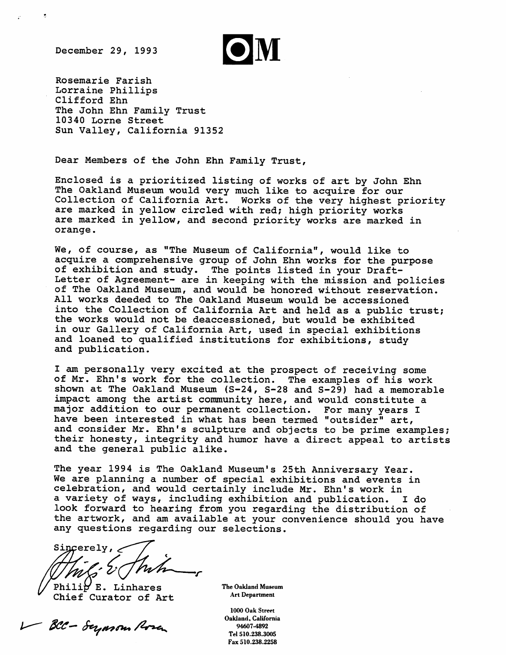December 29, 1993

 $\hat{\mathcal{Z}}$ 

Rosemarie Farish Lorraine Phillips Clifford Ehn The John Ehn Family Trust 10340 Lorne Street Sun Valley, California 91352

Dear Members of the John Ehn Family Trust,

Enclosed is a prioritized listing of works of art by John Ehn The Oakland Museum would very much like to acquire for our Collection of California Art. Works of the very highest priority are marked in yellow circled with red; high priority works are marked in yellow, and second priority works are marked in orange.

We, of course, as "The Museum of California", would like to acquire a comprehensive group of John Ehn works for the purpose of exhibition and study. The points listed in your Draft-Letter of Agreement- are in keeping with the mission and policies of The Oakland Museum, and would be honored without reservation. All works deeded to The Oakland Museum would be accessioned into the Collection of California Art and held as a public trust; the works would not be deaccessioned, but would be exhibited in our Gallery of California Art, used in special exhibitions and loaned to qualified institutions for exhibitions, study and publication.

I am personally very excited at the prospect of receiving some of Mr. Ehn's work for the collection. The examples of his work shown at The Oakland Museum (S-24, S-28 and S-29) had a memorable impact among the artist community here, and would constitute a major addition to our permanent collection. For many years I have been interested in what has been termed "outsider" art, and consider Mr. Ehn's sculpture and objects to be prime examples; their honesty, integrity and humor have a direct appeal to artists and the general public alike.

The year 1994 is The Oakland Museum's 25th Anniversary Year. We are planning a number of special exhibitions and events in celebration, and would certainly include Mr. Ehn's work in a variety of ways, including exhibition and publication. I do look forward to hearing from you regarding the distribution of the artwork, and am available at your convenience should you have any questions regarding our selections.

Sincerely,  $\epsilon$ 

Phili $\not\!\sigma$  E. Linhares Chief Curator of Art

V BCC - Superson Rosa

The Oakland Museum Art Department

1000 Oak Street Oakland, California 94607-4892 Tel 510.238.3005 Fax 510.238.2258